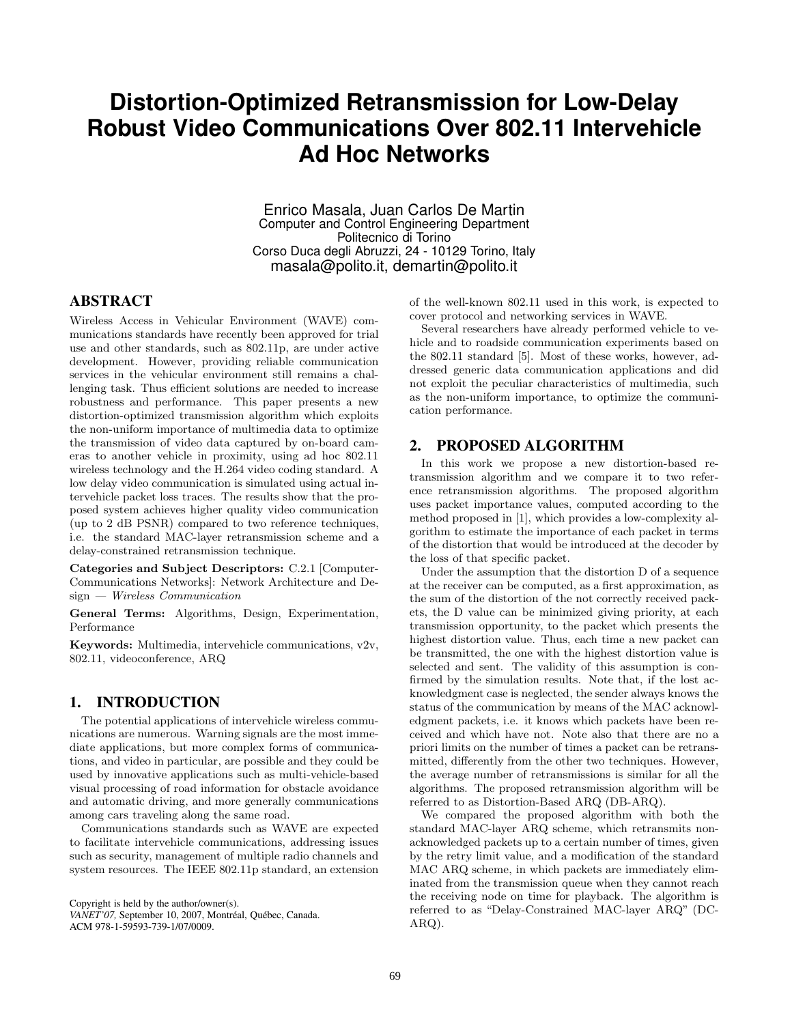# **Distortion-Optimized Retransmission for Low-Delay Robust Video Communications Over 802.11 Intervehicle Ad Hoc Networks**

Enrico Masala, Juan Carlos De Martin Computer and Control Engineering Department Politecnico di Torino Corso Duca degli Abruzzi, 24 - 10129 Torino, Italy masala@polito.it, demartin@polito.it

## ABSTRACT

Wireless Access in Vehicular Environment (WAVE) communications standards have recently been approved for trial use and other standards, such as 802.11p, are under active development. However, providing reliable communication services in the vehicular environment still remains a challenging task. Thus efficient solutions are needed to increase robustness and performance. This paper presents a new distortion-optimized transmission algorithm which exploits the non-uniform importance of multimedia data to optimize the transmission of video data captured by on-board cameras to another vehicle in proximity, using ad hoc 802.11 wireless technology and the H.264 video coding standard. A low delay video communication is simulated using actual intervehicle packet loss traces. The results show that the proposed system achieves higher quality video communication (up to 2 dB PSNR) compared to two reference techniques, i.e. the standard MAC-layer retransmission scheme and a delay-constrained retransmission technique.

Categories and Subject Descriptors: C.2.1 [Computer-Communications Networks]: Network Architecture and Design — Wireless Communication

General Terms: Algorithms, Design, Experimentation, Performance

Keywords: Multimedia, intervehicle communications, v2v, 802.11, videoconference, ARQ

# 1. INTRODUCTION

The potential applications of intervehicle wireless communications are numerous. Warning signals are the most immediate applications, but more complex forms of communications, and video in particular, are possible and they could be used by innovative applications such as multi-vehicle-based visual processing of road information for obstacle avoidance and automatic driving, and more generally communications among cars traveling along the same road.

Communications standards such as WAVE are expected to facilitate intervehicle communications, addressing issues such as security, management of multiple radio channels and system resources. The IEEE 802.11p standard, an extension

Copyright is held by the author/owner(s).

of the well-known 802.11 used in this work, is expected to cover protocol and networking services in WAVE.

Several researchers have already performed vehicle to vehicle and to roadside communication experiments based on the 802.11 standard [5]. Most of these works, however, addressed generic data communication applications and did not exploit the peculiar characteristics of multimedia, such as the non-uniform importance, to optimize the communication performance.

### 2. PROPOSED ALGORITHM

In this work we propose a new distortion-based retransmission algorithm and we compare it to two reference retransmission algorithms. The proposed algorithm uses packet importance values, computed according to the method proposed in [1], which provides a low-complexity algorithm to estimate the importance of each packet in terms of the distortion that would be introduced at the decoder by the loss of that specific packet.

Under the assumption that the distortion D of a sequence at the receiver can be computed, as a first approximation, as the sum of the distortion of the not correctly received packets, the D value can be minimized giving priority, at each transmission opportunity, to the packet which presents the highest distortion value. Thus, each time a new packet can be transmitted, the one with the highest distortion value is selected and sent. The validity of this assumption is confirmed by the simulation results. Note that, if the lost acknowledgment case is neglected, the sender always knows the status of the communication by means of the MAC acknowledgment packets, i.e. it knows which packets have been received and which have not. Note also that there are no a priori limits on the number of times a packet can be retransmitted, differently from the other two techniques. However, the average number of retransmissions is similar for all the algorithms. The proposed retransmission algorithm will be referred to as Distortion-Based ARQ (DB-ARQ).

We compared the proposed algorithm with both the standard MAC-layer ARQ scheme, which retransmits nonacknowledged packets up to a certain number of times, given by the retry limit value, and a modification of the standard MAC ARQ scheme, in which packets are immediately eliminated from the transmission queue when they cannot reach the receiving node on time for playback. The algorithm is referred to as "Delay-Constrained MAC-layer ARQ" (DC-ARQ).

*VANET'07,* September 10, 2007, Montréal, Québec, Canada. ACM 978-1-59593-739-1/07/0009.